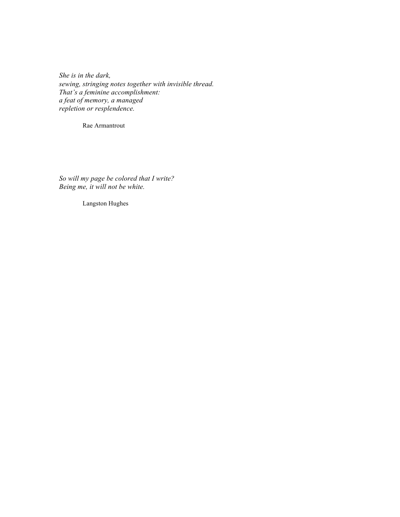*She is in the dark, sewing, stringing notes together with invisible thread. That's a feminine accomplishment: a feat of memory, a managed repletion or resplendence.*

Rae Armantrout

*So will my page be colored that I write? Being me, it will not be white.*

Langston Hughes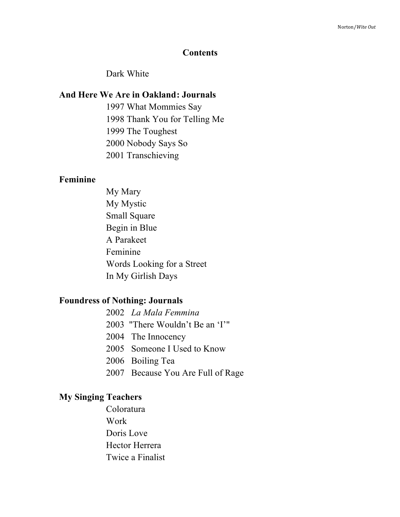#### **Contents**

### Dark White

#### **And Here We Are in Oakland: Journals**

1997 What Mommies Say 1998 Thank You for Telling Me 1999 The Toughest 2000 Nobody Says So 2001 Transchieving

#### **Feminine**

My Mary My Mystic Small Square Begin in Blue A Parakeet Feminine Words Looking for a Street In My Girlish Days

### **Foundress of Nothing: Journals**

2002 *La Mala Femmina* 2003 "There Wouldn't Be an 'I'" 2004 The Innocency 2005 Someone I Used to Know 2006 Boiling Tea 2007 Because You Are Full of Rage

#### **My Singing Teachers**

Coloratura Work Doris Love Hector Herrera Twice a Finalist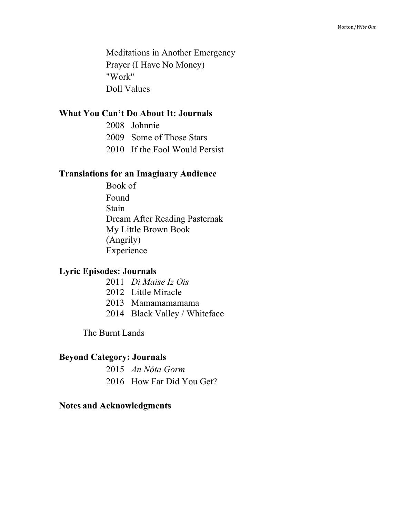Meditations in Another Emergency Prayer (I Have No Money) "Work" Doll Values

# **What You Can't Do About It: Journals**

- 2008 Johnnie
- 2009 Some of Those Stars
- 2010 If the Fool Would Persist

# **Translations for an Imaginary Audience**

Book of Found Stain Dream After Reading Pasternak My Little Brown Book (Angrily) Experience

### **Lyric Episodes: Journals**

- 2011 *Di Maise Iz Ois*
- 2012 Little Miracle
- 2013 Mamamamamama
- 2014 Black Valley / Whiteface

The Burnt Lands

# **Beyond Category: Journals**

2015 *An Nóta Gorm* 2016 How Far Did You Get?

# **Notes and Acknowledgments**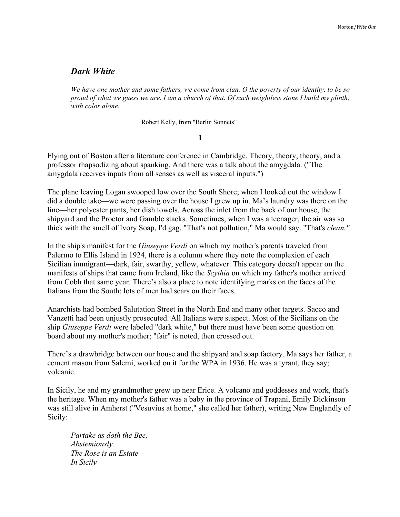#### *Dark White*

*We have one mother and some fathers, we come from clan. O the poverty of our identity, to be so proud of what we guess we are. I am a church of that. Of such weightless stone I build my plinth, with color alone.*

Robert Kelly, from "Berlin Sonnets"

**1**

Flying out of Boston after a literature conference in Cambridge. Theory, theory, theory, and a professor rhapsodizing about spanking. And there was a talk about the amygdala. ("The amygdala receives inputs from all senses as well as visceral inputs.")

The plane leaving Logan swooped low over the South Shore; when I looked out the window I did a double take—we were passing over the house I grew up in. Ma's laundry was there on the line—her polyester pants, her dish towels. Across the inlet from the back of our house, the shipyard and the Proctor and Gamble stacks. Sometimes, when I was a teenager, the air was so thick with the smell of Ivory Soap, I'd gag. "That's not pollution," Ma would say. "That's *clean."* 

In the ship's manifest for the *Giuseppe Verdi* on which my mother's parents traveled from Palermo to Ellis Island in 1924, there is a column where they note the complexion of each Sicilian immigrant—dark, fair, swarthy, yellow, whatever. This category doesn't appear on the manifests of ships that came from Ireland, like the *Scythia* on which my father's mother arrived from Cobh that same year. There's also a place to note identifying marks on the faces of the Italians from the South; lots of men had scars on their faces.

Anarchists had bombed Salutation Street in the North End and many other targets. Sacco and Vanzetti had been unjustly prosecuted. All Italians were suspect. Most of the Sicilians on the ship *Giuseppe Verdi* were labeled "dark white," but there must have been some question on board about my mother's mother; "fair" is noted, then crossed out.

There's a drawbridge between our house and the shipyard and soap factory. Ma says her father, a cement mason from Salemi, worked on it for the WPA in 1936. He was a tyrant, they say; volcanic.

In Sicily, he and my grandmother grew up near Erice. A volcano and goddesses and work, that's the heritage. When my mother's father was a baby in the province of Trapani, Emily Dickinson was still alive in Amherst ("Vesuvius at home," she called her father), writing New Englandly of Sicily:

*Partake as doth the Bee, Abstemiously. The Rose is an Estate – In Sicily*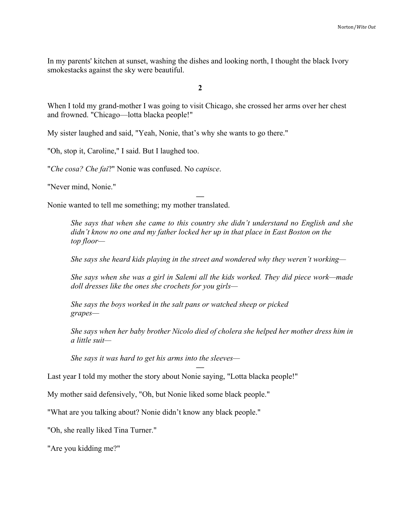In my parents' kitchen at sunset, washing the dishes and looking north, I thought the black Ivory smokestacks against the sky were beautiful.

**2**

When I told my grand-mother I was going to visit Chicago, she crossed her arms over her chest and frowned. "Chicago—lotta blacka people!"

My sister laughed and said, "Yeah, Nonie, that's why she wants to go there."

"Oh, stop it, Caroline," I said. But I laughed too.

"*Che cosa? Che fai*?" Nonie was confused. No *capisce*.

"Never mind, Nonie."

Nonie wanted to tell me something; my mother translated.

*She says that when she came to this country she didn't understand no English and she didn't know no one and my father locked her up in that place in East Boston on the top floor—*

*—*

*She says she heard kids playing in the street and wondered why they weren't working—*

*She says when she was a girl in Salemi all the kids worked. They did piece work—made doll dresses like the ones she crochets for you girls—*

*She says the boys worked in the salt pans or watched sheep or picked grapes—*

*She says when her baby brother Nicolo died of cholera she helped her mother dress him in a little suit—*

**—**

*She says it was hard to get his arms into the sleeves—*

Last year I told my mother the story about Nonie saying, "Lotta blacka people!"

My mother said defensively, "Oh, but Nonie liked some black people."

"What are you talking about? Nonie didn't know any black people."

"Oh, she really liked Tina Turner."

"Are you kidding me?"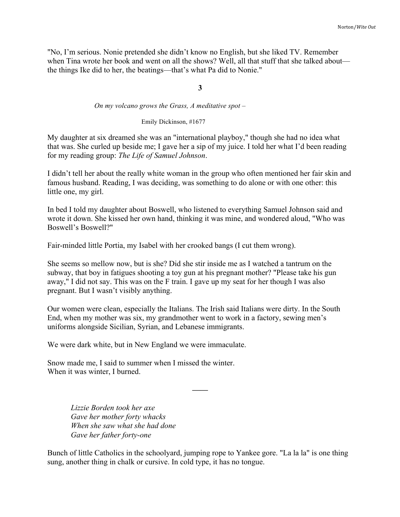"No, I'm serious. Nonie pretended she didn't know no English, but she liked TV. Remember when Tina wrote her book and went on all the shows? Well, all that stuff that she talked about the things Ike did to her, the beatings—that's what Pa did to Nonie."

**3**

#### *On my volcano grows the Grass, A meditative spot –*

Emily Dickinson, #1677

My daughter at six dreamed she was an "international playboy," though she had no idea what that was. She curled up beside me; I gave her a sip of my juice. I told her what I'd been reading for my reading group: *The Life of Samuel Johnson*.

I didn't tell her about the really white woman in the group who often mentioned her fair skin and famous husband. Reading, I was deciding, was something to do alone or with one other: this little one, my girl.

In bed I told my daughter about Boswell, who listened to everything Samuel Johnson said and wrote it down. She kissed her own hand, thinking it was mine, and wondered aloud, "Who was Boswell's Boswell?"

Fair-minded little Portia, my Isabel with her crooked bangs (I cut them wrong).

She seems so mellow now, but is she? Did she stir inside me as I watched a tantrum on the subway, that boy in fatigues shooting a toy gun at his pregnant mother? "Please take his gun away," I did not say. This was on the F train. I gave up my seat for her though I was also pregnant. But I wasn't visibly anything.

Our women were clean, especially the Italians. The Irish said Italians were dirty. In the South End, when my mother was six, my grandmother went to work in a factory, sewing men's uniforms alongside Sicilian, Syrian, and Lebanese immigrants.

We were dark white, but in New England we were immaculate.

Snow made me, I said to summer when I missed the winter. When it was winter, I burned.

> *Lizzie Borden took her axe Gave her mother forty whacks When she saw what she had done Gave her father forty-one*

Bunch of little Catholics in the schoolyard, jumping rope to Yankee gore. "La la la" is one thing sung, another thing in chalk or cursive. In cold type, it has no tongue.

**——**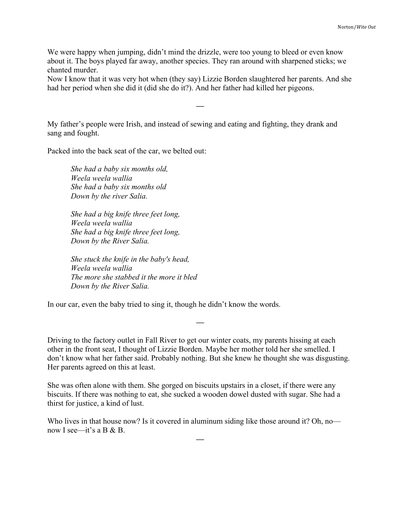We were happy when jumping, didn't mind the drizzle, were too young to bleed or even know about it. The boys played far away, another species. They ran around with sharpened sticks; we chanted murder.

Now I know that it was very hot when (they say) Lizzie Borden slaughtered her parents. And she had her period when she did it (did she do it?). And her father had killed her pigeons.

**—** 

My father's people were Irish, and instead of sewing and eating and fighting, they drank and sang and fought.

Packed into the back seat of the car, we belted out:

*She had a baby six months old, Weela weela wallia She had a baby six months old Down by the river Salia.* 

*She had a big knife three feet long, Weela weela wallia She had a big knife three feet long, Down by the River Salia.* 

*She stuck the knife in the baby's head, Weela weela wallia The more she stabbed it the more it bled Down by the River Salia.* 

In our car, even the baby tried to sing it, though he didn't know the words.

Driving to the factory outlet in Fall River to get our winter coats, my parents hissing at each other in the front seat, I thought of Lizzie Borden. Maybe her mother told her she smelled. I don't know what her father said. Probably nothing. But she knew he thought she was disgusting. Her parents agreed on this at least.

**—** 

She was often alone with them. She gorged on biscuits upstairs in a closet, if there were any biscuits. If there was nothing to eat, she sucked a wooden dowel dusted with sugar. She had a thirst for justice, a kind of lust.

Who lives in that house now? Is it covered in aluminum siding like those around it? Oh, no now I see—it's a B & B.

**—**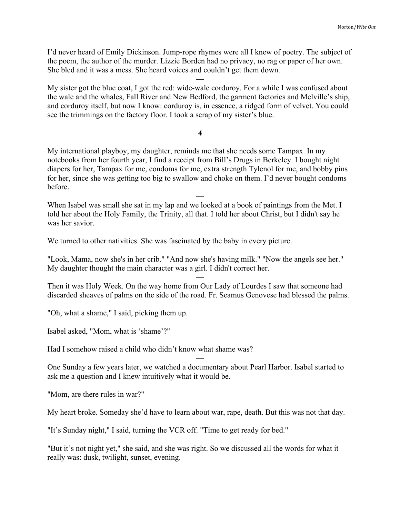I'd never heard of Emily Dickinson. Jump-rope rhymes were all I knew of poetry. The subject of the poem, the author of the murder. Lizzie Borden had no privacy, no rag or paper of her own. She bled and it was a mess. She heard voices and couldn't get them down.

**—**

My sister got the blue coat, I got the red: wide-wale corduroy. For a while I was confused about the wale and the whales, Fall River and New Bedford, the garment factories and Melville's ship, and corduroy itself, but now I know: corduroy is, in essence, a ridged form of velvet. You could see the trimmings on the factory floor. I took a scrap of my sister's blue.

#### **4**

My international playboy, my daughter, reminds me that she needs some Tampax. In my notebooks from her fourth year, I find a receipt from Bill's Drugs in Berkeley. I bought night diapers for her, Tampax for me, condoms for me, extra strength Tylenol for me, and bobby pins for her, since she was getting too big to swallow and choke on them. I'd never bought condoms before.

**—**

When Isabel was small she sat in my lap and we looked at a book of paintings from the Met. I told her about the Holy Family, the Trinity, all that. I told her about Christ, but I didn't say he was her savior.

We turned to other nativities. She was fascinated by the baby in every picture.

"Look, Mama, now she's in her crib." "And now she's having milk." "Now the angels see her." My daughter thought the main character was a girl. I didn't correct her.

Then it was Holy Week. On the way home from Our Lady of Lourdes I saw that someone had discarded sheaves of palms on the side of the road. Fr. Seamus Genovese had blessed the palms.

**—**

"Oh, what a shame," I said, picking them up.

Isabel asked, "Mom, what is 'shame'?"

Had I somehow raised a child who didn't know what shame was?

One Sunday a few years later, we watched a documentary about Pearl Harbor. Isabel started to ask me a question and I knew intuitively what it would be.

**—**

"Mom, are there rules in war?"

My heart broke. Someday she'd have to learn about war, rape, death. But this was not that day.

"It's Sunday night," I said, turning the VCR off. "Time to get ready for bed."

"But it's not night yet," she said, and she was right. So we discussed all the words for what it really was: dusk, twilight, sunset, evening.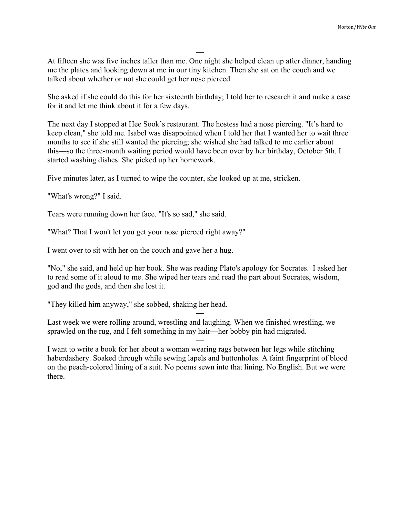At fifteen she was five inches taller than me. One night she helped clean up after dinner, handing me the plates and looking down at me in our tiny kitchen. Then she sat on the couch and we talked about whether or not she could get her nose pierced.

**—**

She asked if she could do this for her sixteenth birthday; I told her to research it and make a case for it and let me think about it for a few days.

The next day I stopped at Hee Sook's restaurant. The hostess had a nose piercing. "It's hard to keep clean," she told me. Isabel was disappointed when I told her that I wanted her to wait three months to see if she still wanted the piercing; she wished she had talked to me earlier about this—so the three-month waiting period would have been over by her birthday, October 5th. I started washing dishes. She picked up her homework.

Five minutes later, as I turned to wipe the counter, she looked up at me, stricken.

"What's wrong?" I said.

Tears were running down her face. "It's so sad," she said.

"What? That I won't let you get your nose pierced right away?"

I went over to sit with her on the couch and gave her a hug.

"No," she said, and held up her book. She was reading Plato's apology for Socrates. I asked her to read some of it aloud to me. She wiped her tears and read the part about Socrates, wisdom, god and the gods, and then she lost it.

**—**

**—**

"They killed him anyway," she sobbed, shaking her head.

Last week we were rolling around, wrestling and laughing. When we finished wrestling, we sprawled on the rug, and I felt something in my hair—her bobby pin had migrated.

I want to write a book for her about a woman wearing rags between her legs while stitching haberdashery. Soaked through while sewing lapels and buttonholes. A faint fingerprint of blood on the peach-colored lining of a suit. No poems sewn into that lining. No English. But we were there.